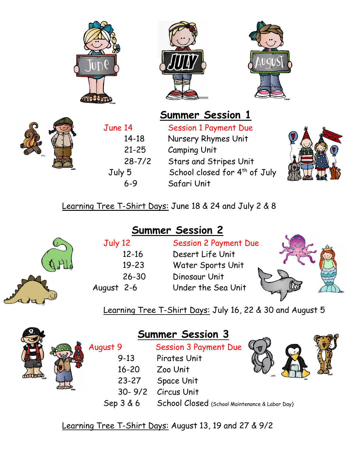





## **Summer Session 1**



June 14 Session 1 Payment Due 14-18 Nursery Rhymes Unit 21-25 Camping Unit 28-7/2 Stars and Stripes Unit Tuly 5 School closed for 4<sup>th</sup> of July 6-9 Safari Unit



Learning Tree T-Shirt Days: June 18 & 24 and July 2 & 8

**Summer Session 2**

| July 12  |  |  |  |  |
|----------|--|--|--|--|
| 12-16    |  |  |  |  |
| 19-23    |  |  |  |  |
| 26-30    |  |  |  |  |
| qust 2-6 |  |  |  |  |
|          |  |  |  |  |

**Session 2 Payment Due** Desert Life Unit Water Sports Unit Dinosaur Unit August 2-6 Under the Sea Unit



Learning Tree T-Shirt Days: July 16, 22 & 30 and August 5



|          | <b>Summer Session 3</b>      |
|----------|------------------------------|
| August 9 | <b>Session 3 Payment Due</b> |

|  | 1.444     | <b>PESSION STATISHIP DUC</b> |
|--|-----------|------------------------------|
|  | $9 - 13$  | Pirates Unit                 |
|  | $16 - 20$ | Zoo Unit                     |
|  | 23-27     | Space Unit                   |
|  |           | 30-9/2 Circus Unit           |

Sep 3 & 6 School Closed (School Maintenance & Labor Day)



Learning Tree T-Shirt Days: August 13, 19 and 27 & 9/2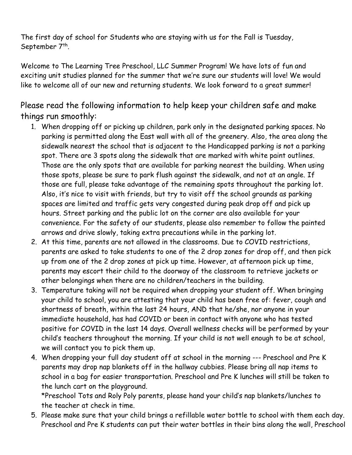The first day of school for Students who are staying with us for the Fall is Tuesday, September 7<sup>th</sup>.

Welcome to The Learning Tree Preschool, LLC Summer Program! We have lots of fun and exciting unit studies planned for the summer that we're sure our students will love! We would like to welcome all of our new and returning students. We look forward to a great summer!

Please read the following information to help keep your children safe and make things run smoothly:

- 1. When dropping off or picking up children, park only in the designated parking spaces. No parking is permitted along the East wall with all of the greenery. Also, the area along the sidewalk nearest the school that is adjacent to the Handicapped parking is not a parking spot. There are 3 spots along the sidewalk that are marked with white paint outlines. Those are the only spots that are available for parking nearest the building. When using those spots, please be sure to park flush against the sidewalk, and not at an angle. If those are full, please take advantage of the remaining spots throughout the parking lot. Also, it's nice to visit with friends, but try to visit off the school grounds as parking spaces are limited and traffic gets very congested during peak drop off and pick up hours. Street parking and the public lot on the corner are also available for your convenience. For the safety of our students, please also remember to follow the painted arrows and drive slowly, taking extra precautions while in the parking lot.
- 2. At this time, parents are not allowed in the classrooms. Due to COVID restrictions, parents are asked to take students to one of the 2 drop zones for drop off, and then pick up from one of the 2 drop zones at pick up time. However, at afternoon pick up time, parents may escort their child to the doorway of the classroom to retrieve jackets or other belongings when there are no children/teachers in the building.
- 3. Temperature taking will not be required when dropping your student off. When bringing your child to school, you are attesting that your child has been free of: fever, cough and shortness of breath, within the last 24 hours, AND that he/she, nor anyone in your immediate household, has had COVID or been in contact with anyone who has tested positive for COVID in the last 14 days. Overall wellness checks will be performed by your child's teachers throughout the morning. If your child is not well enough to be at school, we will contact you to pick them up.
- 4. When dropping your full day student off at school in the morning --- Preschool and Pre K parents may drop nap blankets off in the hallway cubbies. Please bring all nap items to school in a bag for easier transportation. Preschool and Pre K lunches will still be taken to the lunch cart on the playground.

\*Preschool Tots and Roly Poly parents, please hand your child's nap blankets/lunches to the teacher at check in time.

5. Please make sure that your child brings a refillable water bottle to school with them each day. Preschool and Pre K students can put their water bottles in their bins along the wall, Preschool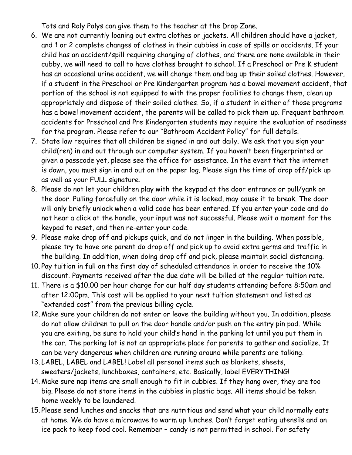Tots and Roly Polys can give them to the teacher at the Drop Zone.

- 6. We are not currently loaning out extra clothes or jackets. All children should have a jacket, and 1 or 2 complete changes of clothes in their cubbies in case of spills or accidents. If your child has an accident/spill requiring changing of clothes, and there are none available in their cubby, we will need to call to have clothes brought to school. If a Preschool or Pre K student has an occasional urine accident, we will change them and bag up their soiled clothes. However, if a student in the Preschool or Pre Kindergarten program has a bowel movement accident, that portion of the school is not equipped to with the proper facilities to change them, clean up appropriately and dispose of their soiled clothes. So, if a student in either of those programs has a bowel movement accident, the parents will be called to pick them up. Frequent bathroom accidents for Preschool and Pre Kindergarten students may require the evaluation of readiness for the program. Please refer to our "Bathroom Accident Policy" for full details.
- 7. State law requires that all children be signed in and out daily. We ask that you sign your child(ren) in and out through our computer system. If you haven't been fingerprinted or given a passcode yet, please see the office for assistance. In the event that the internet is down, you must sign in and out on the paper log. Please sign the time of drop off/pick up as well as your FULL signature.
- 8. Please do not let your children play with the keypad at the door entrance or pull/yank on the door. Pulling forcefully on the door while it is locked, may cause it to break. The door will only briefly unlock when a valid code has been entered. If you enter your code and do not hear a click at the handle, your input was not successful. Please wait a moment for the keypad to reset, and then re-enter your code.
- 9. Please make drop off and pickups quick, and do not linger in the building. When possible, please try to have one parent do drop off and pick up to avoid extra germs and traffic in the building. In addition, when doing drop off and pick, please maintain social distancing.
- 10. Pay tuition in full on the first day of scheduled attendance in order to receive the 10% discount. Payments received after the due date will be billed at the regular tuition rate.
- 11. There is a \$10.00 per hour charge for our half day students attending before 8:50am and after 12:00pm. This cost will be applied to your next tuition statement and listed as "extended cost" from the previous billing cycle.
- 12. Make sure your children do not enter or leave the building without you. In addition, please do not allow children to pull on the door handle and/or push on the entry pin pad. While you are exiting, be sure to hold your child's hand in the parking lot until you put them in the car. The parking lot is not an appropriate place for parents to gather and socialize. It can be very dangerous when children are running around while parents are talking.
- 13. LABEL, LABEL and LABEL! Label all personal items such as blankets, sheets, sweaters/jackets, lunchboxes, containers, etc. Basically, label EVERYTHING!
- 14. Make sure nap items are small enough to fit in cubbies. If they hang over, they are too big. Please do not store items in the cubbies in plastic bags. All items should be taken home weekly to be laundered.
- 15. Please send lunches and snacks that are nutritious and send what your child normally eats at home. We do have a microwave to warm up lunches. Don't forget eating utensils and an ice pack to keep food cool. Remember – candy is not permitted in school. For safety